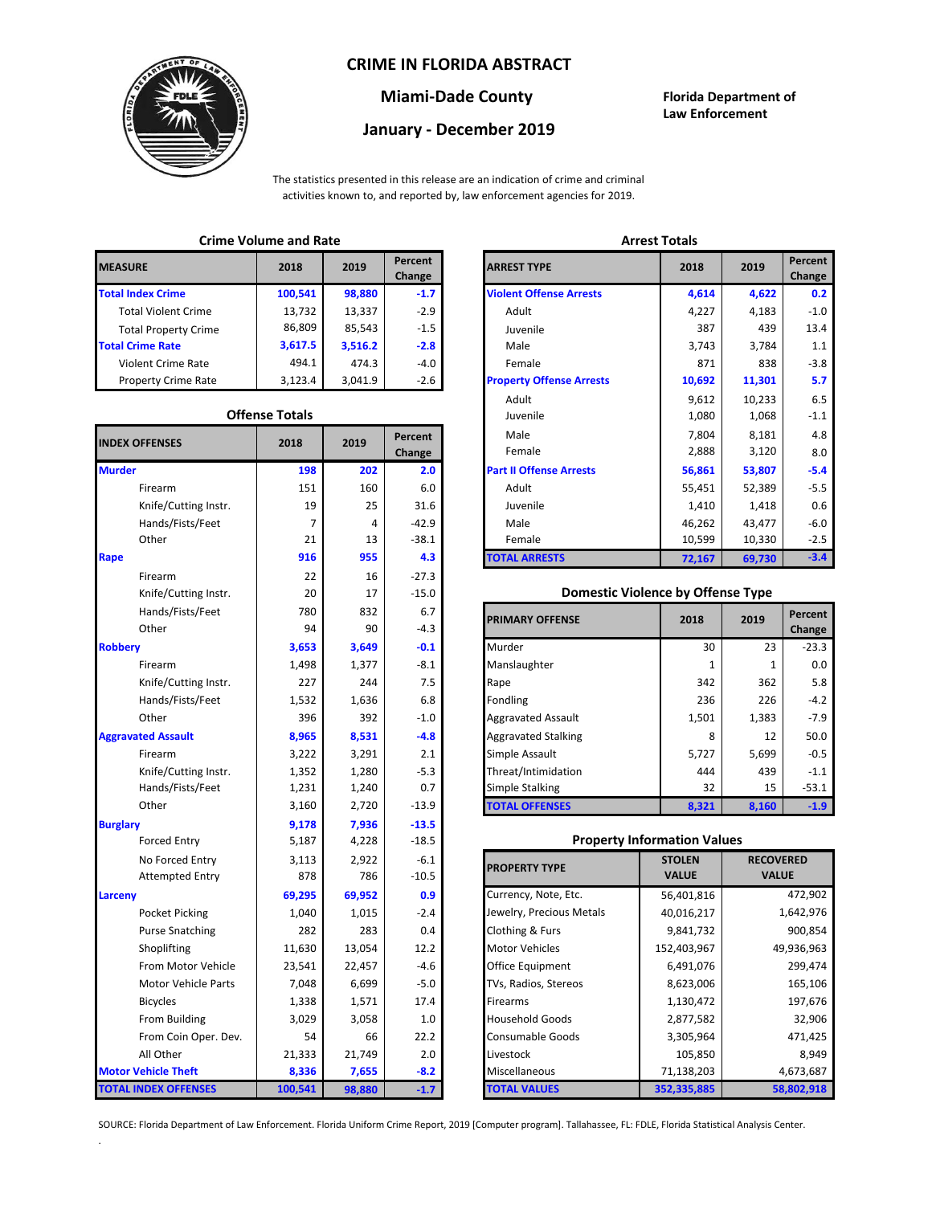### **CRIME IN FLORIDA ABSTRACT**



## **Miami-Dade County Florida Department of**

# **January - December 2019**

**Law Enforcement**

The statistics presented in this release are an indication of crime and criminal activities known to, and reported by, law enforcement agencies for 2019.

## **Crime Volume and Rate Arrest Totals**

| <b>MEASURE</b>              | 2018    | 2019    | Percent<br>Change | <b>ARREST TYPE</b>             |
|-----------------------------|---------|---------|-------------------|--------------------------------|
| <b>Total Index Crime</b>    | 100,541 | 98,880  | $-1.7$            | <b>Violent Offense Arrests</b> |
| <b>Total Violent Crime</b>  | 13,732  | 13,337  | $-2.9$            | Adult                          |
| <b>Total Property Crime</b> | 86,809  | 85,543  | $-1.5$            | Juvenile                       |
| <b>Total Crime Rate</b>     | 3,617.5 | 3,516.2 | $-2.8$            | Male                           |
| Violent Crime Rate          | 494.1   | 474.3   | -4.0              | Female                         |
| <b>Property Crime Rate</b>  | 3,123.4 | 3,041.9 | $-2.6$            | <b>Property Offense Arrest</b> |

#### **Offense Totals**

| <b>INDEX OFFENSES</b>       | 2018    | 2019   | Percent<br>Change | Male<br>Female                           | 7,804<br>8,181<br>2,888<br>3,120  |              | 4.8<br>8.0 |
|-----------------------------|---------|--------|-------------------|------------------------------------------|-----------------------------------|--------------|------------|
| <b>Murder</b>               | 198     | 202    | 2.0               | <b>Part II Offense Arrests</b>           | 56,861                            | 53,807       | $-5.4$     |
| Firearm                     | 151     | 160    | 6.0               | Adult                                    | 55,451                            | 52,389       | $-5.5$     |
| Knife/Cutting Instr.        | 19      | 25     | 31.6              | Juvenile                                 | 1,410                             | 1,418        | 0.6        |
| Hands/Fists/Feet            | 7       | 4      | $-42.9$           | Male                                     | 46,262                            | 43,477       | $-6.0$     |
| Other                       | 21      | 13     | $-38.1$           | Female                                   | 10,599                            | 10,330       | $-2.5$     |
| Rape                        | 916     | 955    | 4.3               | <b>TOTAL ARRESTS</b>                     | 72,167                            | 69,730       | $-3.4$     |
| Firearm                     | 22      | 16     | $-27.3$           |                                          |                                   |              |            |
| Knife/Cutting Instr.        | 20      | 17     | $-15.0$           | <b>Domestic Violence by Offense Type</b> |                                   |              |            |
| Hands/Fists/Feet            | 780     | 832    | 6.7               |                                          |                                   |              | Percent    |
| Other                       | 94      | 90     | $-4.3$            | <b>PRIMARY OFFENSE</b>                   | 2018                              | 2019         | Change     |
| <b>Robbery</b>              | 3,653   | 3,649  | $-0.1$            | Murder                                   | 30                                | 23           | $-23.3$    |
| Firearm                     | 1,498   | 1,377  | $-8.1$            | Manslaughter                             | 1                                 | 1            | 0.0        |
| Knife/Cutting Instr.        | 227     | 244    | 7.5               | Rape                                     | 342                               | 362          | 5.8        |
| Hands/Fists/Feet            | 1,532   | 1,636  | 6.8               | Fondling                                 | 236                               | 226          | $-4.2$     |
| Other                       | 396     | 392    | $-1.0$            | <b>Aggravated Assault</b>                | 1,501                             | 1,383        | $-7.9$     |
| <b>Aggravated Assault</b>   | 8,965   | 8,531  | $-4.8$            | <b>Aggravated Stalking</b>               | 8                                 | 12           | 50.0       |
| Firearm                     | 3,222   | 3,291  | 2.1               | Simple Assault                           | 5,727                             | 5,699        | $-0.5$     |
| Knife/Cutting Instr.        | 1,352   | 1,280  | $-5.3$            | Threat/Intimidation                      | 444                               | 439          | $-1.1$     |
| Hands/Fists/Feet            | 1,231   | 1,240  | 0.7               | Simple Stalking                          | 32                                | 15           | $-53.1$    |
| Other                       | 3,160   | 2,720  | $-13.9$           | <b>TOTAL OFFENSES</b>                    | 8,321                             | 8,160        | $-1.9$     |
| <b>Burglary</b>             | 9,178   | 7,936  | $-13.5$           |                                          |                                   |              |            |
| <b>Forced Entry</b>         | 5,187   | 4,228  | $-18.5$           | <b>Property Information Values</b>       |                                   |              |            |
| No Forced Entry             | 3,113   | 2,922  | $-6.1$            | <b>PROPERTY TYPE</b>                     | <b>STOLEN</b><br><b>RECOVERED</b> |              |            |
| <b>Attempted Entry</b>      | 878     | 786    | $-10.5$           |                                          | <b>VALUE</b>                      | <b>VALUE</b> |            |
| Larceny                     | 69,295  | 69,952 | 0.9               | Currency, Note, Etc.                     | 56,401,816                        |              | 472,902    |
| Pocket Picking              | 1,040   | 1,015  | $-2.4$            | Jewelry, Precious Metals                 | 40,016,217                        |              | 1,642,976  |
| <b>Purse Snatching</b>      | 282     | 283    | 0.4               | Clothing & Furs                          | 9,841,732                         |              | 900,854    |
| Shoplifting                 | 11,630  | 13,054 | 12.2              | <b>Motor Vehicles</b>                    | 152,403,967                       |              | 49,936,963 |
| From Motor Vehicle          | 23,541  | 22,457 | $-4.6$            | Office Equipment                         | 6,491,076                         |              | 299,474    |
| Motor Vehicle Parts         | 7,048   | 6,699  | $-5.0$            | TVs, Radios, Stereos                     | 8,623,006                         |              | 165,106    |
| <b>Bicycles</b>             | 1,338   | 1,571  | 17.4              | Firearms                                 | 1,130,472                         |              | 197,676    |
| From Building               | 3,029   | 3,058  | 1.0               | <b>Household Goods</b>                   | 2,877,582                         |              | 32,906     |
| From Coin Oper. Dev.        | 54      | 66     | 22.2              | Consumable Goods                         | 3,305,964                         |              | 471,425    |
| All Other                   | 21,333  | 21,749 | 2.0               | Livestock                                | 105,850                           |              | 8,949      |
| <b>Motor Vehicle Theft</b>  | 8,336   | 7,655  | $-8.2$            | Miscellaneous                            | 71,138,203                        |              | 4,673,687  |
| <b>TOTAL INDEX OFFENSES</b> | 100,541 | 98,880 | $-1.7$            | <b>TOTAL VALUES</b>                      | 352,335,885                       |              | 58,802,918 |

.

| CHING VUIUNG ANU NALC |                       |         |                   | AUCSL IULAIS                    |        |        |                   |
|-----------------------|-----------------------|---------|-------------------|---------------------------------|--------|--------|-------------------|
| RΕ                    | 2018                  | 2019    | Percent<br>Change | <b>ARREST TYPE</b>              | 2018   | 2019   | Percent<br>Change |
| dex Crime             | 100,541               | 98,880  | $-1.7$            | <b>Violent Offense Arrests</b>  | 4,614  | 4,622  | 0.2               |
| Il Violent Crime      | 13,732                | 13,337  | $-2.9$            | Adult                           | 4,227  | 4,183  | $-1.0$            |
| Il Property Crime     | 86,809                | 85,543  | $-1.5$            | Juvenile                        | 387    | 439    | 13.4              |
| me Rate               | 3,617.5               | 3,516.2 | $-2.8$            | Male                            | 3,743  | 3,784  | 1.1               |
| ent Crime Rate        | 494.1                 | 474.3   | $-4.0$            | Female                          | 871    | 838    | $-3.8$            |
| erty Crime Rate       | 3,123.4               | 3,041.9 | $-2.6$            | <b>Property Offense Arrests</b> | 10,692 | 11,301 | 5.7               |
|                       |                       |         |                   | Adult                           | 9,612  | 10,233 | 6.5               |
|                       | <b>Offense Totals</b> |         |                   | Juvenile                        | 1,080  | 1,068  | $-1.1$            |
| <b>FFENSES</b>        | 2018                  | 2019    | Percent           | Male                            | 7,804  | 8,181  | 4.8               |
|                       |                       |         | Change            | Female                          | 2,888  | 3,120  | 8.0               |
|                       | 198                   | 202     | 2.0               | <b>Part II Offense Arrests</b>  | 56,861 | 53,807 | $-5.4$            |
| Firearm               | 151                   | 160     | 6.0               | Adult                           | 55,451 | 52,389 | $-5.5$            |
| Knife/Cutting Instr.  | 19                    | 25      | 31.6              | Juvenile                        | 1,410  | 1,418  | 0.6               |
| Hands/Fists/Feet      | 7                     | 4       | $-42.9$           | Male                            | 46,262 | 43,477 | $-6.0$            |
| Other                 | 21                    | 13      | $-38.1$           | Female                          | 10,599 | 10,330 | $-2.5$            |
|                       | 916                   | 955     | 4.3               | <b>TOTAL ARRESTS</b>            | 72,167 | 69,730 | $-3.4$            |
|                       |                       |         |                   |                                 |        |        |                   |

#### 20 **Domestic Violence by Offense Type**

| Hands/Fists/Feet<br>Other | 780<br>94 | 832<br>90 | 6.7<br>$-4.3$ | <b>PRIMARY OFFENSE</b>     | 2018  | 2019  | Percent<br>Change |
|---------------------------|-----------|-----------|---------------|----------------------------|-------|-------|-------------------|
|                           | 3,653     | 3,649     | $-0.1$        | Murder                     | 30    | 23    | $-23.3$           |
| Firearm                   | 1,498     | 1,377     | $-8.1$        | Manslaughter               |       |       | 0.0               |
| Knife/Cutting Instr.      | 227       | 244       | 7.5           | Rape                       | 342   | 362   | 5.8               |
| Hands/Fists/Feet          | 1,532     | 1,636     | 6.8           | Fondling                   | 236   | 226   | $-4.2$            |
| Other                     | 396       | 392       | $-1.0$        | <b>Aggravated Assault</b>  | 1,501 | 1,383 | $-7.9$            |
| ted Assault               | 8,965     | 8,531     | $-4.8$        | <b>Aggravated Stalking</b> | 8     | 12    | 50.0              |
| Firearm                   | 3,222     | 3,291     | 2.1           | Simple Assault             | 5,727 | 5,699 | $-0.5$            |
| Knife/Cutting Instr.      | 1,352     | 1,280     | $-5.3$        | Threat/Intimidation        | 444   | 439   | $-1.1$            |
| Hands/Fists/Feet          | 1,231     | 1,240     | 0.7           | Simple Stalking            | 32    | 15    | $-53.1$           |
| Other                     | 3,160     | 2,720     | $-13.9$       | <b>TOTAL OFFENSES</b>      | 8,321 | 8,160 | $-1.9$            |

#### **Property Information Values**

| 3,113  | 2,922  | $-6.1$  | <b>PROPERTY TYPE</b>     | <b>STOLEN</b> | <b>RECOVERED</b> |
|--------|--------|---------|--------------------------|---------------|------------------|
| 878    | 786    | $-10.5$ |                          | <b>VALUE</b>  | <b>VALUE</b>     |
| 69,295 | 69,952 | 0.9     | Currency, Note, Etc.     | 56,401,816    | 472,902          |
| 1,040  | 1,015  | $-2.4$  | Jewelry, Precious Metals | 40,016,217    | 1,642,976        |
| 282    | 283    | 0.4     | Clothing & Furs          | 9,841,732     | 900,854          |
| 11,630 | 13,054 | 12.2    | <b>Motor Vehicles</b>    | 152,403,967   | 49,936,963       |
| 23,541 | 22,457 | $-4.6$  | Office Equipment         | 6,491,076     | 299,474          |
| 7,048  | 6,699  | $-5.0$  | TVs, Radios, Stereos     | 8,623,006     | 165,106          |
| 1,338  | 1,571  | 17.4    | <b>Firearms</b>          | 1,130,472     | 197,676          |
| 3,029  | 3,058  | 1.0     | <b>Household Goods</b>   | 2,877,582     | 32,906           |
| 54     | 66     | 22.2    | <b>Consumable Goods</b>  | 3,305,964     | 471,425          |
| 21,333 | 21,749 | 2.0     | Livestock                | 105,850       | 8,949            |
| 8,336  | 7,655  | $-8.2$  | Miscellaneous            | 71,138,203    | 4,673,687        |
| 00,541 | 98,880 | $-1.7$  | <b>TOTAL VALUES</b>      | 352,335,885   | 58,802,918       |

SOURCE: Florida Department of Law Enforcement. Florida Uniform Crime Report, 2019 [Computer program]. Tallahassee, FL: FDLE, Florida Statistical Analysis Center.